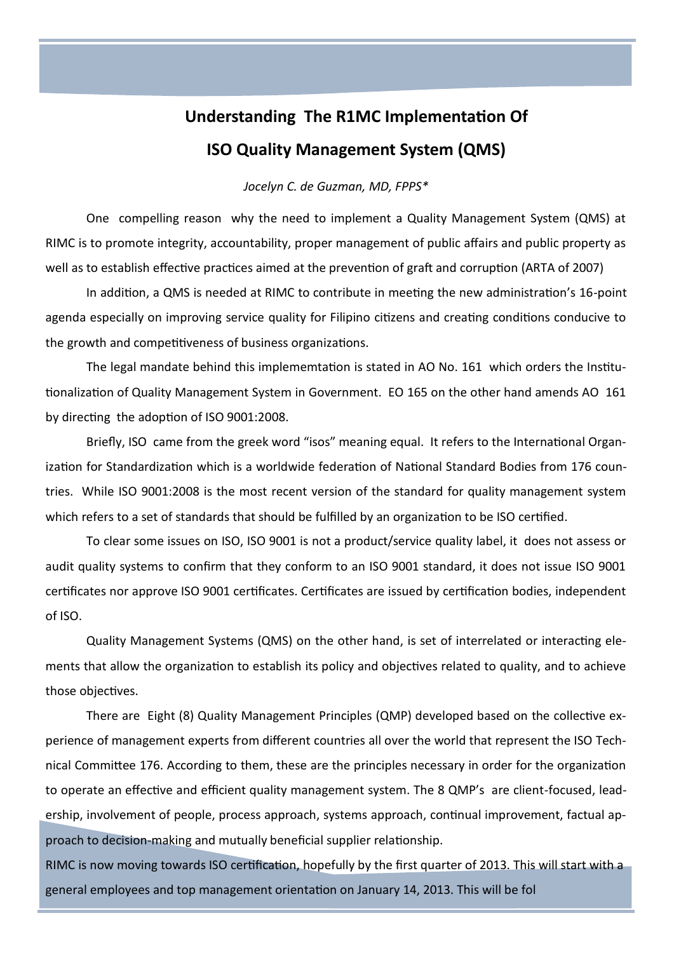## **Understanding The R1MC Implementation Of ISO Quality Management System (QMS)**

## *Jocelyn C. de Guzman, MD, FPPS\**

One compelling reason why the need to implement a Quality Management System (QMS) at RIMC is to promote integrity, accountability, proper management of public affairs and public property as well as to establish effective practices aimed at the prevention of graft and corruption (ARTA of 2007)

In addition, a QMS is needed at RIMC to contribute in meeting the new administration's 16-point agenda especially on improving service quality for Filipino citizens and creating conditions conducive to the growth and competitiveness of business organizations.

The legal mandate behind this implememtation is stated in AO No. 161 which orders the Institutionalization of Quality Management System in Government. EO 165 on the other hand amends AO 161 by directing the adoption of ISO 9001:2008.

Briefly, ISO came from the greek word "isos" meaning equal. It refers to the International Organization for Standardization which is a worldwide federation of National Standard Bodies from 176 countries. While ISO 9001:2008 is the most recent version of the standard for quality management system which refers to a set of standards that should be fulfilled by an organization to be ISO certified.

To clear some issues on ISO, ISO 9001 is not a product/service quality label, it does not assess or audit quality systems to confirm that they conform to an ISO 9001 standard, it does not issue ISO 9001 certificates nor approve ISO 9001 certificates. Certificates are issued by certification bodies, independent of ISO.

Quality Management Systems (QMS) on the other hand, is set of interrelated or interacting elements that allow the organization to establish its policy and objectives related to quality, and to achieve those objectives.

There are Eight (8) Quality Management Principles (QMP) developed based on the collective experience of management experts from different countries all over the world that represent the ISO Technical Committee 176. According to them, these are the principles necessary in order for the organization to operate an effective and efficient quality management system. The 8 QMP's are client-focused, leadership, involvement of people, process approach, systems approach, continual improvement, factual approach to decision-making and mutually beneficial supplier relationship.

RIMC is now moving towards ISO certification, hopefully by the first quarter of 2013. This will start with a general employees and top management orientation on January 14, 2013. This will be fol